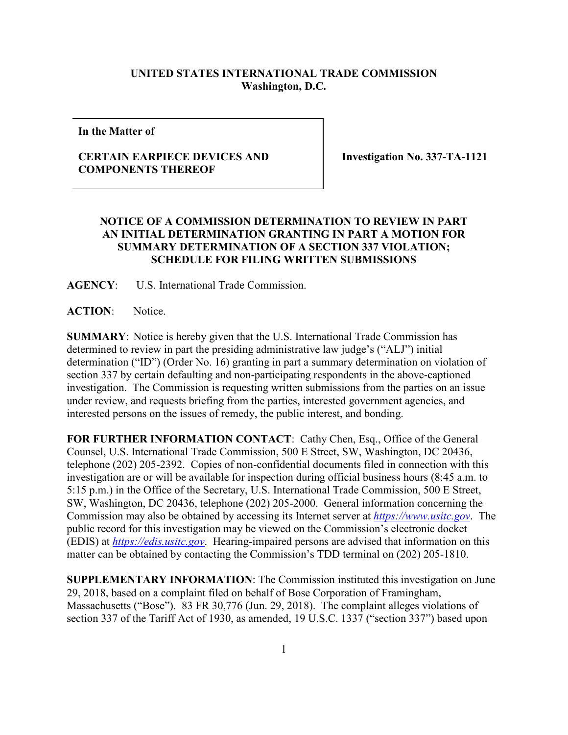## **UNITED STATES INTERNATIONAL TRADE COMMISSION Washington, D.C.**

**In the Matter of**

## **CERTAIN EARPIECE DEVICES AND COMPONENTS THEREOF**

**Investigation No. 337-TA-1121**

## **NOTICE OF A COMMISSION DETERMINATION TO REVIEW IN PART AN INITIAL DETERMINATION GRANTING IN PART A MOTION FOR SUMMARY DETERMINATION OF A SECTION 337 VIOLATION; SCHEDULE FOR FILING WRITTEN SUBMISSIONS**

**AGENCY**: U.S. International Trade Commission.

**ACTION**: Notice.

**SUMMARY**: Notice is hereby given that the U.S. International Trade Commission has determined to review in part the presiding administrative law judge's ("ALJ") initial determination ("ID") (Order No. 16) granting in part a summary determination on violation of section 337 by certain defaulting and non-participating respondents in the above-captioned investigation. The Commission is requesting written submissions from the parties on an issue under review, and requests briefing from the parties, interested government agencies, and interested persons on the issues of remedy, the public interest, and bonding.

FOR FURTHER INFORMATION CONTACT: Cathy Chen, Esq., Office of the General Counsel, U.S. International Trade Commission, 500 E Street, SW, Washington, DC 20436, telephone (202) 205-2392. Copies of non-confidential documents filed in connection with this investigation are or will be available for inspection during official business hours (8:45 a.m. to 5:15 p.m.) in the Office of the Secretary, U.S. International Trade Commission, 500 E Street, SW, Washington, DC 20436, telephone (202) 205-2000. General information concerning the Commission may also be obtained by accessing its Internet server at *[https://www.usitc.gov](https://www.usitc.gov/)*. The public record for this investigation may be viewed on the Commission's electronic docket (EDIS) at *[https://edis.usitc.gov](https://edis.usitc.gov/)*. Hearing-impaired persons are advised that information on this matter can be obtained by contacting the Commission's TDD terminal on (202) 205-1810.

**SUPPLEMENTARY INFORMATION**: The Commission instituted this investigation on June 29, 2018, based on a complaint filed on behalf of Bose Corporation of Framingham, Massachusetts ("Bose"). 83 FR 30,776 (Jun. 29, 2018). The complaint alleges violations of section 337 of the Tariff Act of 1930, as amended, 19 U.S.C. 1337 ("section 337") based upon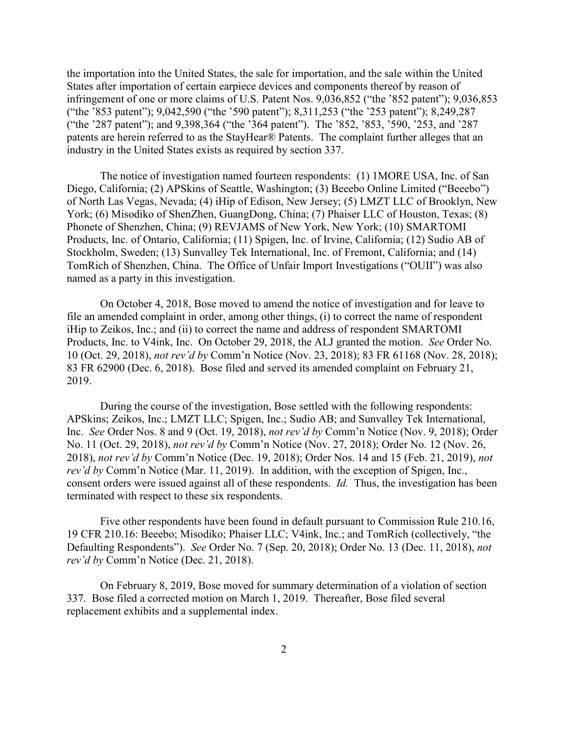the importation into the United States, the sale for importation, and the sale within the United States after importation of certain earpiece devices and components thereof by reason of infringement of one or more claims of U.S. Patent Nos. 9,036,852 ("the '852 patent"); 9,036,853 ("the '853 patent"); 9,042,590 ("the '590 patent"); 8,311,253 ("the '253 patent"); 8,249,287 ("the '287 patent"); and 9,398,364 ("the '364 patent"). The '852, '853, '590, '253, and '287 patents are herein referred to as the StayHear® Patents. The complaint further alleges that an industry in the United States exists as required by section 337.

The notice of investigation named fourteen respondents: (1) 1MORE USA, Inc. of San Diego, California; (2) APSkins of Seattle, Washington; (3) Beeebo Online Limited ("Beeebo") of North Las Vegas, Nevada; (4) iHip of Edison, New Jersey; (5) LMZT LLC of Brooklyn, New York; (6) Misodiko of ShenZhen, GuangDong, China; (7) Phaiser LLC of Houston, Texas; (8) Phonete of Shenzhen, China; (9) REVJAMS of New York, New York; (10) SMARTOMI Products, Inc. of Ontario, California; (11) Spigen, Inc. of Irvine, California; (12) Sudio AB of Stockholm, Sweden; (13) Sunvalley Tek International, Inc. of Fremont, California; and (14) TomRich of Shenzhen, China. The Office of Unfair Import Investigations ("OUII") was also named as a party in this investigation.

On October 4, 2018, Bose moved to amend the notice of investigation and for leave to file an amended complaint in order, among other things, (i) to correct the name of respondent iHip to Zeikos, Inc.; and (ii) to correct the name and address of respondent SMARTOMI Products, Inc. to V4ink, Inc. On October 29, 2018, the ALJ granted the motion. *See* Order No. 10 (Oct. 29, 2018), *not rev'd by* Comm'n Notice (Nov. 23, 2018); 83 FR 61168 (Nov. 28, 2018); 83 FR 62900 (Dec. 6, 2018). Bose filed and served its amended complaint on February 21, 2019.

During the course of the investigation, Bose settled with the following respondents: APSkins; Zeikos, Inc.; LMZT LLC; Spigen, Inc.; Sudio AB; and Sunvalley Tek International, Inc. *See* Order Nos. 8 and 9 (Oct. 19, 2018), *not rev'd by* Comm'n Notice (Nov. 9, 2018); Order No. 11 (Oct. 29, 2018), *not rev'd by* Comm'n Notice (Nov. 27, 2018); Order No. 12 (Nov. 26, 2018), *not rev'd by* Comm'n Notice (Dec. 19, 2018); Order Nos. 14 and 15 (Feb. 21, 2019), *not rev'd by* Comm'n Notice (Mar. 11, 2019). In addition, with the exception of Spigen, Inc., consent orders were issued against all of these respondents. *Id.* Thus, the investigation has been terminated with respect to these six respondents.

Five other respondents have been found in default pursuant to Commission Rule 210.16, 19 CFR 210.16: Beeebo; Misodiko; Phaiser LLC; V4ink, Inc.; and TomRich (collectively, "the Defaulting Respondents"). *See* Order No. 7 (Sep. 20, 2018); Order No. 13 (Dec. 11, 2018), *not rev'd by* Comm'n Notice (Dec. 21, 2018).

On February 8, 2019, Bose moved for summary determination of a violation of section 337. Bose filed a corrected motion on March 1, 2019. Thereafter, Bose filed several replacement exhibits and a supplemental index.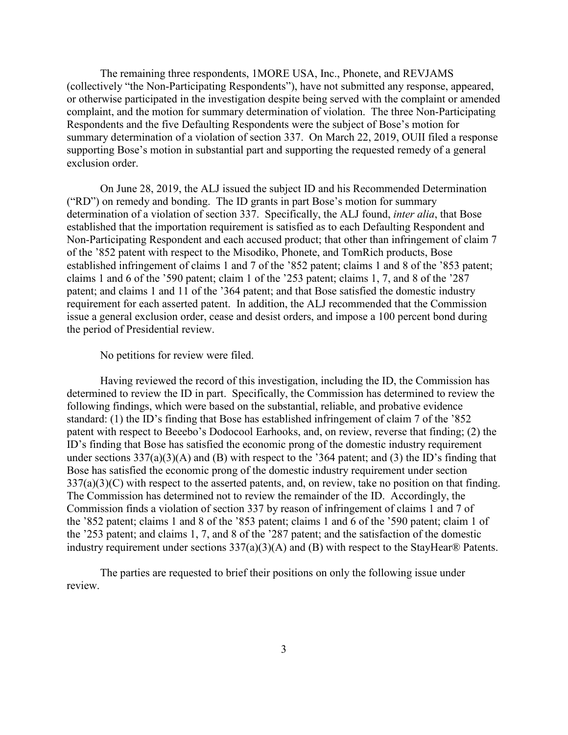The remaining three respondents, 1MORE USA, Inc., Phonete, and REVJAMS (collectively "the Non-Participating Respondents"), have not submitted any response, appeared, or otherwise participated in the investigation despite being served with the complaint or amended complaint, and the motion for summary determination of violation. The three Non-Participating Respondents and the five Defaulting Respondents were the subject of Bose's motion for summary determination of a violation of section 337. On March 22, 2019, OUII filed a response supporting Bose's motion in substantial part and supporting the requested remedy of a general exclusion order.

On June 28, 2019, the ALJ issued the subject ID and his Recommended Determination ("RD") on remedy and bonding. The ID grants in part Bose's motion for summary determination of a violation of section 337. Specifically, the ALJ found, *inter alia*, that Bose established that the importation requirement is satisfied as to each Defaulting Respondent and Non-Participating Respondent and each accused product; that other than infringement of claim 7 of the '852 patent with respect to the Misodiko, Phonete, and TomRich products, Bose established infringement of claims 1 and 7 of the '852 patent; claims 1 and 8 of the '853 patent; claims 1 and 6 of the '590 patent; claim 1 of the '253 patent; claims 1, 7, and 8 of the '287 patent; and claims 1 and 11 of the '364 patent; and that Bose satisfied the domestic industry requirement for each asserted patent. In addition, the ALJ recommended that the Commission issue a general exclusion order, cease and desist orders, and impose a 100 percent bond during the period of Presidential review.

No petitions for review were filed.

Having reviewed the record of this investigation, including the ID, the Commission has determined to review the ID in part. Specifically, the Commission has determined to review the following findings, which were based on the substantial, reliable, and probative evidence standard: (1) the ID's finding that Bose has established infringement of claim 7 of the '852 patent with respect to Beeebo's Dodocool Earhooks, and, on review, reverse that finding; (2) the ID's finding that Bose has satisfied the economic prong of the domestic industry requirement under sections  $337(a)(3)(A)$  and (B) with respect to the '364 patent; and (3) the ID's finding that Bose has satisfied the economic prong of the domestic industry requirement under section  $337(a)(3)(C)$  with respect to the asserted patents, and, on review, take no position on that finding. The Commission has determined not to review the remainder of the ID. Accordingly, the Commission finds a violation of section 337 by reason of infringement of claims 1 and 7 of the '852 patent; claims 1 and 8 of the '853 patent; claims 1 and 6 of the '590 patent; claim 1 of the '253 patent; and claims 1, 7, and 8 of the '287 patent; and the satisfaction of the domestic industry requirement under sections 337(a)(3)(A) and (B) with respect to the StayHear® Patents.

The parties are requested to brief their positions on only the following issue under review.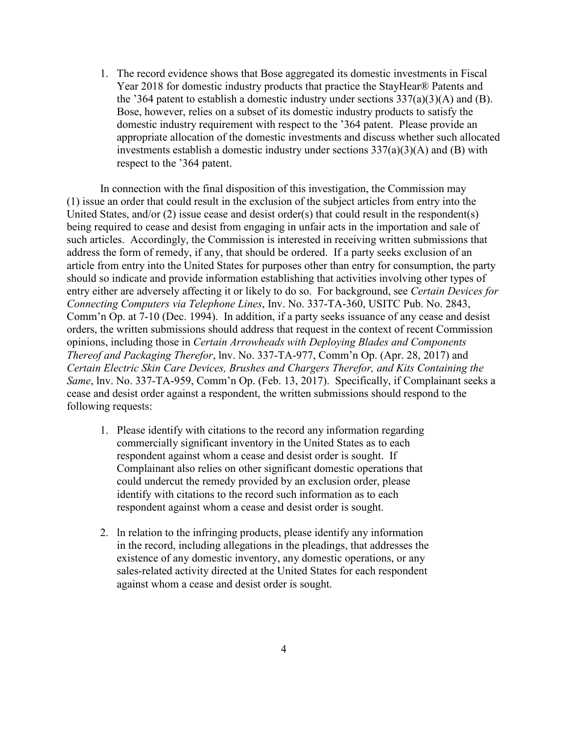1. The record evidence shows that Bose aggregated its domestic investments in Fiscal Year 2018 for domestic industry products that practice the StayHear® Patents and the '364 patent to establish a domestic industry under sections  $337(a)(3)(A)$  and (B). Bose, however, relies on a subset of its domestic industry products to satisfy the domestic industry requirement with respect to the '364 patent. Please provide an appropriate allocation of the domestic investments and discuss whether such allocated investments establish a domestic industry under sections 337(a)(3)(A) and (B) with respect to the '364 patent.

In connection with the final disposition of this investigation, the Commission may (1) issue an order that could result in the exclusion of the subject articles from entry into the United States, and/or (2) issue cease and desist order(s) that could result in the respondent(s) being required to cease and desist from engaging in unfair acts in the importation and sale of such articles. Accordingly, the Commission is interested in receiving written submissions that address the form of remedy, if any, that should be ordered. If a party seeks exclusion of an article from entry into the United States for purposes other than entry for consumption, the party should so indicate and provide information establishing that activities involving other types of entry either are adversely affecting it or likely to do so. For background, see *Certain Devices for Connecting Computers via Telephone Lines*, Inv. No. 337-TA-360, USITC Pub. No. 2843, Comm'n Op. at 7-10 (Dec. 1994). In addition, if a party seeks issuance of any cease and desist orders, the written submissions should address that request in the context of recent Commission opinions, including those in *Certain Arrowheads with Deploying Blades and Components Thereof and Packaging Therefor*, lnv. No. 337-TA-977, Comm'n Op. (Apr. 28, 2017) and *Certain Electric Skin Care Devices, Brushes and Chargers Therefor, and Kits Containing the Same*, lnv. No. 337-TA-959, Comm'n Op. (Feb. 13, 2017). Specifically, if Complainant seeks a cease and desist order against a respondent, the written submissions should respond to the following requests:

- 1. Please identify with citations to the record any information regarding commercially significant inventory in the United States as to each respondent against whom a cease and desist order is sought. If Complainant also relies on other significant domestic operations that could undercut the remedy provided by an exclusion order, please identify with citations to the record such information as to each respondent against whom a cease and desist order is sought.
- 2. ln relation to the infringing products, please identify any information in the record, including allegations in the pleadings, that addresses the existence of any domestic inventory, any domestic operations, or any sales-related activity directed at the United States for each respondent against whom a cease and desist order is sought.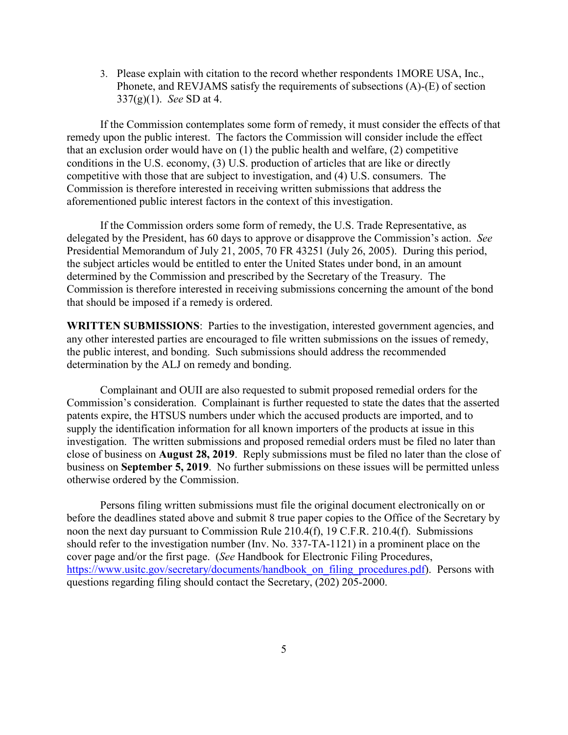3. Please explain with citation to the record whether respondents 1MORE USA, Inc., Phonete, and REVJAMS satisfy the requirements of subsections (A)-(E) of section 337(g)(1). *See* SD at 4.

If the Commission contemplates some form of remedy, it must consider the effects of that remedy upon the public interest. The factors the Commission will consider include the effect that an exclusion order would have on (1) the public health and welfare, (2) competitive conditions in the U.S. economy, (3) U.S. production of articles that are like or directly competitive with those that are subject to investigation, and (4) U.S. consumers. The Commission is therefore interested in receiving written submissions that address the aforementioned public interest factors in the context of this investigation.

If the Commission orders some form of remedy, the U.S. Trade Representative, as delegated by the President, has 60 days to approve or disapprove the Commission's action. *See*  Presidential Memorandum of July 21, 2005, 70 FR 43251 (July 26, 2005). During this period, the subject articles would be entitled to enter the United States under bond, in an amount determined by the Commission and prescribed by the Secretary of the Treasury. The Commission is therefore interested in receiving submissions concerning the amount of the bond that should be imposed if a remedy is ordered.

**WRITTEN SUBMISSIONS**: Parties to the investigation, interested government agencies, and any other interested parties are encouraged to file written submissions on the issues of remedy, the public interest, and bonding. Such submissions should address the recommended determination by the ALJ on remedy and bonding.

Complainant and OUII are also requested to submit proposed remedial orders for the Commission's consideration. Complainant is further requested to state the dates that the asserted patents expire, the HTSUS numbers under which the accused products are imported, and to supply the identification information for all known importers of the products at issue in this investigation. The written submissions and proposed remedial orders must be filed no later than close of business on **August 28, 2019**. Reply submissions must be filed no later than the close of business on **September 5, 2019**. No further submissions on these issues will be permitted unless otherwise ordered by the Commission.

Persons filing written submissions must file the original document electronically on or before the deadlines stated above and submit 8 true paper copies to the Office of the Secretary by noon the next day pursuant to Commission Rule 210.4(f), 19 C.F.R. 210.4(f). Submissions should refer to the investigation number (Inv. No. 337-TA-1121) in a prominent place on the cover page and/or the first page. (*See* Handbook for Electronic Filing Procedures, https://www.usitc.gov/secretary/documents/handbook on filing procedures.pdf). Persons with questions regarding filing should contact the Secretary, (202) 205-2000.